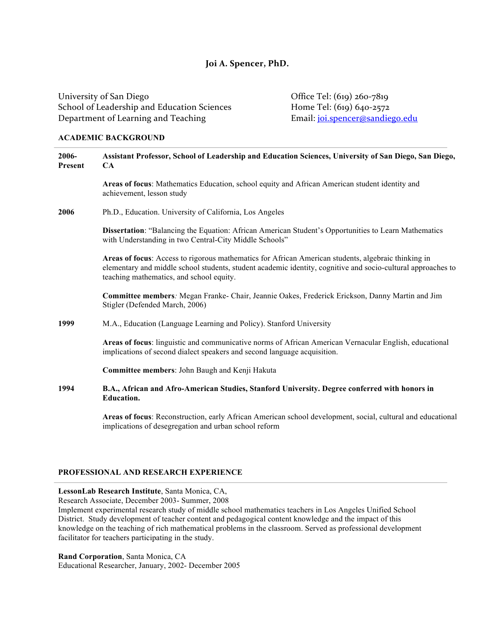# Joi A. Spencer, PhD.

University of San Diego **Office Tel:** (619) 260-7819 School of Leadership and Education Sciences Home Tel: (619) 640-2572 Department of Learning and Teaching **Email:** joi.spencer@sandiego.edu

#### **ACADEMIC BACKGROUND**

| 2006-<br>Present | Assistant Professor, School of Leadership and Education Sciences, University of San Diego, San Diego,<br><b>CA</b>                                                                                                                                              |
|------------------|-----------------------------------------------------------------------------------------------------------------------------------------------------------------------------------------------------------------------------------------------------------------|
|                  | Areas of focus: Mathematics Education, school equity and African American student identity and<br>achievement, lesson study                                                                                                                                     |
| 2006             | Ph.D., Education. University of California, Los Angeles                                                                                                                                                                                                         |
|                  | Dissertation: "Balancing the Equation: African American Student's Opportunities to Learn Mathematics<br>with Understanding in two Central-City Middle Schools"                                                                                                  |
|                  | Areas of focus: Access to rigorous mathematics for African American students, algebraic thinking in<br>elementary and middle school students, student academic identity, cognitive and socio-cultural approaches to<br>teaching mathematics, and school equity. |
|                  | Committee members: Megan Franke- Chair, Jeannie Oakes, Frederick Erickson, Danny Martin and Jim<br>Stigler (Defended March, 2006)                                                                                                                               |
| 1999             | M.A., Education (Language Learning and Policy). Stanford University                                                                                                                                                                                             |
|                  | Areas of focus: linguistic and communicative norms of African American Vernacular English, educational<br>implications of second dialect speakers and second language acquisition.                                                                              |
|                  | Committee members: John Baugh and Kenji Hakuta                                                                                                                                                                                                                  |
| 1994             | B.A., African and Afro-American Studies, Stanford University. Degree conferred with honors in<br><b>Education.</b>                                                                                                                                              |
|                  | Areas of focus: Reconstruction, early African American school development, social, cultural and educational<br>implications of desegregation and urban school reform                                                                                            |

## **PROFESSIONAL AND RESEARCH EXPERIENCE**

## **LessonLab Research Institute**, Santa Monica, CA,

Research Associate, December 2003- Summer, 2008

Implement experimental research study of middle school mathematics teachers in Los Angeles Unified School District. Study development of teacher content and pedagogical content knowledge and the impact of this knowledge on the teaching of rich mathematical problems in the classroom. Served as professional development facilitator for teachers participating in the study.

**Rand Corporation**, Santa Monica, CA Educational Researcher, January, 2002- December 2005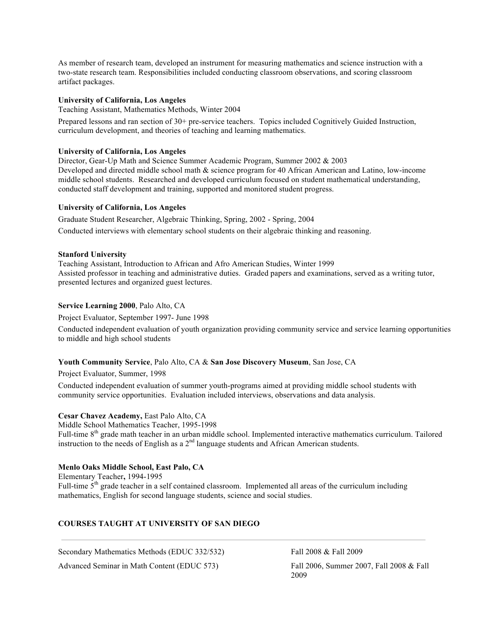As member of research team, developed an instrument for measuring mathematics and science instruction with a two-state research team. Responsibilities included conducting classroom observations, and scoring classroom artifact packages.

## **University of California, Los Angeles**

Teaching Assistant, Mathematics Methods, Winter 2004

Prepared lessons and ran section of 30+ pre-service teachers. Topics included Cognitively Guided Instruction, curriculum development, and theories of teaching and learning mathematics.

## **University of California, Los Angeles**

Director, Gear-Up Math and Science Summer Academic Program, Summer 2002 & 2003 Developed and directed middle school math & science program for 40 African American and Latino, low-income middle school students. Researched and developed curriculum focused on student mathematical understanding, conducted staff development and training, supported and monitored student progress.

#### **University of California, Los Angeles**

Graduate Student Researcher, Algebraic Thinking, Spring, 2002 - Spring, 2004 Conducted interviews with elementary school students on their algebraic thinking and reasoning.

#### **Stanford University**

Teaching Assistant, Introduction to African and Afro American Studies, Winter 1999 Assisted professor in teaching and administrative duties. Graded papers and examinations, served as a writing tutor, presented lectures and organized guest lectures.

### **Service Learning 2000**, Palo Alto, CA

Project Evaluator, September 1997- June 1998

Conducted independent evaluation of youth organization providing community service and service learning opportunities to middle and high school students

#### **Youth Community Service**, Palo Alto, CA & **San Jose Discovery Museum**, San Jose, CA

#### Project Evaluator, Summer, 1998

Conducted independent evaluation of summer youth-programs aimed at providing middle school students with community service opportunities. Evaluation included interviews, observations and data analysis.

#### **Cesar Chavez Academy,** East Palo Alto, CA

Middle School Mathematics Teacher, 1995-1998

Full-time 8<sup>th</sup> grade math teacher in an urban middle school. Implemented interactive mathematics curriculum. Tailored instruction to the needs of English as a  $2<sup>nd</sup>$  language students and African American students.

### **Menlo Oaks Middle School, East Palo, CA**

Elementary Teacher**,** 1994-1995 Full-time  $5<sup>th</sup>$  grade teacher in a self contained classroom. Implemented all areas of the curriculum including mathematics, English for second language students, science and social studies.

## **COURSES TAUGHT AT UNIVERSITY OF SAN DIEGO**

Secondary Mathematics Methods (EDUC 332/532) Fall 2008 & Fall 2009

Advanced Seminar in Math Content (EDUC 573) Fall 2006, Summer 2007, Fall 2008 & Fall

2009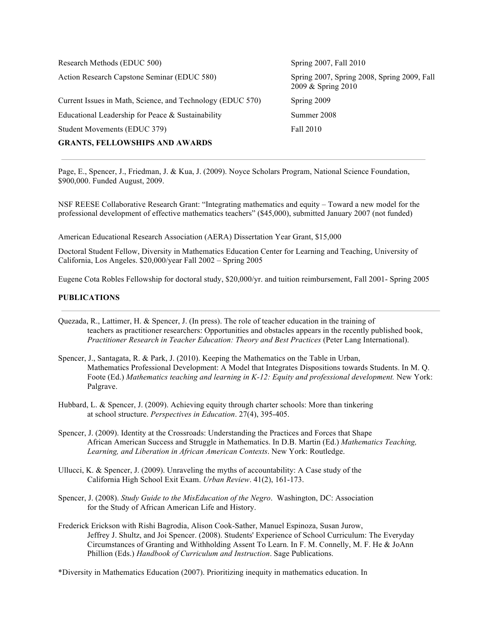Action Research Capstone Seminar (EDUC 580) Spring 2007, Spring 2008, Spring 2009, Fall Current Issues in Math, Science, and Technology (EDUC 570) Spring 2009 Educational Leadership for Peace & Sustainability Summer 2008 Student Movements (EDUC 379) Fall 2010

#### **GRANTS, FELLOWSHIPS AND AWARDS**

Research Methods (EDUC 500) Spring 2007, Fall 2010 2009 & Spring 2010

Page, E., Spencer, J., Friedman, J. & Kua, J. (2009). Noyce Scholars Program, National Science Foundation, \$900,000. Funded August, 2009.

NSF REESE Collaborative Research Grant: "Integrating mathematics and equity – Toward a new model for the professional development of effective mathematics teachers" (\$45,000), submitted January 2007 (not funded)

American Educational Research Association (AERA) Dissertation Year Grant, \$15,000

Doctoral Student Fellow, Diversity in Mathematics Education Center for Learning and Teaching, University of California, Los Angeles. \$20,000/year Fall 2002 – Spring 2005

Eugene Cota Robles Fellowship for doctoral study, \$20,000/yr. and tuition reimbursement, Fall 2001- Spring 2005

## **PUBLICATIONS**

- Quezada, R., Lattimer, H. & Spencer, J. (In press). The role of teacher education in the training of teachers as practitioner researchers: Opportunities and obstacles appears in the recently published book, *Practitioner Research in Teacher Education: Theory and Best Practices* (Peter Lang International).
- Spencer, J., Santagata, R. & Park, J. (2010). Keeping the Mathematics on the Table in Urban, Mathematics Professional Development: A Model that Integrates Dispositions towards Students. In M. Q. Foote (Ed.) *Mathematics teaching and learning in K-12: Equity and professional development*. New York: Palgrave.
- Hubbard, L. & Spencer, J. (2009). Achieving equity through charter schools: More than tinkering at school structure. *Perspectives in Education*. 27(4), 395-405.
- Spencer, J. (2009). Identity at the Crossroads: Understanding the Practices and Forces that Shape African American Success and Struggle in Mathematics. In D.B. Martin (Ed.) *Mathematics Teaching, Learning, and Liberation in African American Contexts*. New York: Routledge.
- Ullucci, K. & Spencer, J. (2009). Unraveling the myths of accountability: A Case study of the California High School Exit Exam. *Urban Review*. 41(2), 161-173.
- Spencer, J. (2008). *Study Guide to the MisEducation of the Negro*. Washington, DC: Association for the Study of African American Life and History.
- Frederick Erickson with Rishi Bagrodia, Alison Cook-Sather, Manuel Espinoza, Susan Jurow, Jeffrey J. Shultz, and Joi Spencer. (2008). Students' Experience of School Curriculum: The Everyday Circumstances of Granting and Withholding Assent To Learn. In F. M. Connelly, M. F. He & JoAnn Phillion (Eds.) *Handbook of Curriculum and Instruction*. Sage Publications.

\*Diversity in Mathematics Education (2007). Prioritizing inequity in mathematics education. In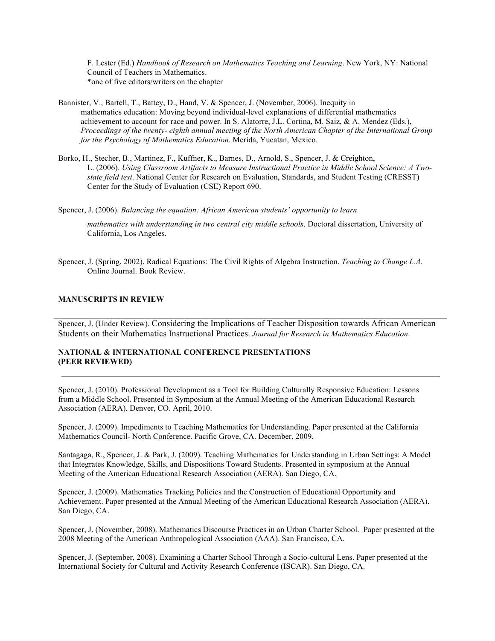F. Lester (Ed.) *Handbook of Research on Mathematics Teaching and Learning*. New York, NY: National Council of Teachers in Mathematics. \*one of five editors/writers on the chapter

- Bannister, V., Bartell, T., Battey, D., Hand, V. & Spencer, J. (November, 2006). Inequity in mathematics education: Moving beyond individual-level explanations of differential mathematics achievement to account for race and power. In S. Alatorre,  $J.L.$  Cortina, M. Saiz, & A. Mendez (Eds.), *Proceedings of the twenty- eighth annual meeting of the North American Chapter of the International Group for the Psychology of Mathematics Education.* Merida, Yucatan, Mexico.
- Borko, H., Stecher, B., Martinez, F., Kuffner, K., Barnes, D., Arnold, S., Spencer, J. & Creighton, L. (2006). *Using Classroom Artifacts to Measure Instructional Practice in Middle School Science: A Twostate field test*. National Center for Research on Evaluation, Standards, and Student Testing (CRESST) Center for the Study of Evaluation (CSE) Report 690.

Spencer, J. (2006). *Balancing the equation: African American students' opportunity to learn* 

*mathematics with understanding in two central city middle schools*. Doctoral dissertation, University of California, Los Angeles.

Spencer, J. (Spring, 2002). Radical Equations: The Civil Rights of Algebra Instruction. *Teaching to Change L.A.* Online Journal. Book Review.

#### **MANUSCRIPTS IN REVIEW**

Spencer, J. (Under Review). Considering the Implications of Teacher Disposition towards African American Students on their Mathematics Instructional Practices. *Journal for Research in Mathematics Education*.

### **NATIONAL & INTERNATIONAL CONFERENCE PRESENTATIONS (PEER REVIEWED)**

Spencer, J. (2010). Professional Development as a Tool for Building Culturally Responsive Education: Lessons from a Middle School. Presented in Symposium at the Annual Meeting of the American Educational Research Association (AERA). Denver, CO. April, 2010.

Spencer, J. (2009). Impediments to Teaching Mathematics for Understanding. Paper presented at the California Mathematics Council- North Conference. Pacific Grove, CA. December, 2009.

Santagaga, R., Spencer, J. & Park, J. (2009). Teaching Mathematics for Understanding in Urban Settings: A Model that Integrates Knowledge, Skills, and Dispositions Toward Students. Presented in symposium at the Annual Meeting of the American Educational Research Association (AERA). San Diego, CA.

Spencer, J. (2009). Mathematics Tracking Policies and the Construction of Educational Opportunity and Achievement. Paper presented at the Annual Meeting of the American Educational Research Association (AERA). San Diego, CA.

Spencer, J. (November, 2008). Mathematics Discourse Practices in an Urban Charter School. Paper presented at the 2008 Meeting of the American Anthropological Association (AAA). San Francisco, CA.

Spencer, J. (September, 2008). Examining a Charter School Through a Socio-cultural Lens. Paper presented at the International Society for Cultural and Activity Research Conference (ISCAR). San Diego, CA.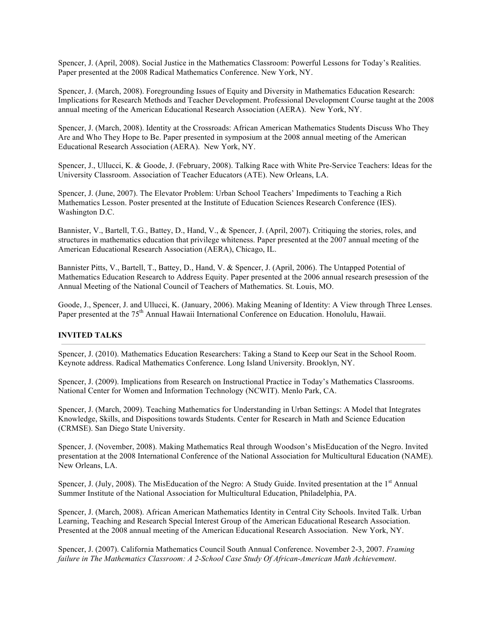Spencer, J. (April, 2008). Social Justice in the Mathematics Classroom: Powerful Lessons for Today's Realities. Paper presented at the 2008 Radical Mathematics Conference. New York, NY.

Spencer, J. (March, 2008). Foregrounding Issues of Equity and Diversity in Mathematics Education Research: Implications for Research Methods and Teacher Development. Professional Development Course taught at the 2008 annual meeting of the American Educational Research Association (AERA). New York, NY.

Spencer, J. (March, 2008). Identity at the Crossroads: African American Mathematics Students Discuss Who They Are and Who They Hope to Be. Paper presented in symposium at the 2008 annual meeting of the American Educational Research Association (AERA). New York, NY.

Spencer, J., Ullucci, K. & Goode, J. (February, 2008). Talking Race with White Pre-Service Teachers: Ideas for the University Classroom. Association of Teacher Educators (ATE). New Orleans, LA.

Spencer, J. (June, 2007). The Elevator Problem: Urban School Teachers' Impediments to Teaching a Rich Mathematics Lesson. Poster presented at the Institute of Education Sciences Research Conference (IES). Washington D.C.

Bannister, V., Bartell, T.G., Battey, D., Hand, V., & Spencer, J. (April, 2007). Critiquing the stories, roles, and structures in mathematics education that privilege whiteness. Paper presented at the 2007 annual meeting of the American Educational Research Association (AERA), Chicago, IL.

Bannister Pitts, V., Bartell, T., Battey, D., Hand, V. & Spencer, J. (April, 2006). The Untapped Potential of Mathematics Education Research to Address Equity. Paper presented at the 2006 annual research presession of the Annual Meeting of the National Council of Teachers of Mathematics. St. Louis, MO.

Goode, J., Spencer, J. and Ullucci, K. (January, 2006). Making Meaning of Identity: A View through Three Lenses. Paper presented at the 75<sup>th</sup> Annual Hawaii International Conference on Education. Honolulu, Hawaii.

### **INVITED TALKS**

Spencer, J. (2010). Mathematics Education Researchers: Taking a Stand to Keep our Seat in the School Room. Keynote address. Radical Mathematics Conference. Long Island University. Brooklyn, NY.

Spencer, J. (2009). Implications from Research on Instructional Practice in Today's Mathematics Classrooms. National Center for Women and Information Technology (NCWIT). Menlo Park, CA.

Spencer, J. (March, 2009). Teaching Mathematics for Understanding in Urban Settings: A Model that Integrates Knowledge, Skills, and Dispositions towards Students. Center for Research in Math and Science Education (CRMSE). San Diego State University.

Spencer, J. (November, 2008). Making Mathematics Real through Woodson's MisEducation of the Negro. Invited presentation at the 2008 International Conference of the National Association for Multicultural Education (NAME). New Orleans, LA.

Spencer, J. (July, 2008). The MisEducation of the Negro: A Study Guide. Invited presentation at the 1<sup>st</sup> Annual Summer Institute of the National Association for Multicultural Education, Philadelphia, PA.

Spencer, J. (March, 2008). African American Mathematics Identity in Central City Schools. Invited Talk. Urban Learning, Teaching and Research Special Interest Group of the American Educational Research Association. Presented at the 2008 annual meeting of the American Educational Research Association. New York, NY.

Spencer, J. (2007). California Mathematics Council South Annual Conference. November 2-3, 2007. *Framing failure in The Mathematics Classroom: A 2-School Case Study Of African-American Math Achievement*.